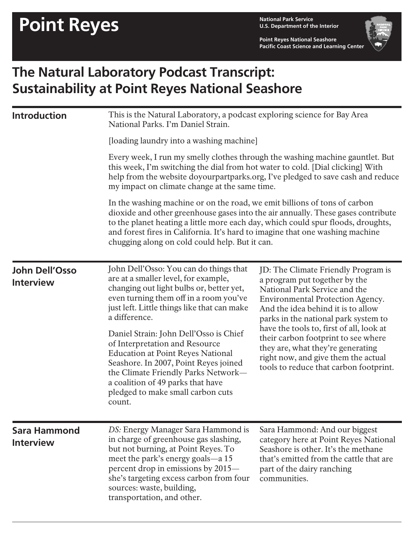**U.S. Department of the Interior**

**Point Reyes National Seashore Pacific Coast Science and Learning Center**



## **The Natural Laboratory Podcast Transcript: Sustainability at Point Reyes National Seashore**

| <b>Introduction</b>                       | This is the Natural Laboratory, a podcast exploring science for Bay Area<br>National Parks. I'm Daniel Strain.<br>[loading laundry into a washing machine]<br>Every week, I run my smelly clothes through the washing machine gauntlet. But<br>this week, I'm switching the dial from hot water to cold. [Dial clicking] With<br>help from the website doyourpartparks.org, I've pledged to save cash and reduce<br>my impact on climate change at the same time.<br>In the washing machine or on the road, we emit billions of tons of carbon<br>dioxide and other greenhouse gases into the air annually. These gases contribute<br>to the planet heating a little more each day, which could spur floods, droughts,<br>and forest fires in California. It's hard to imagine that one washing machine<br>chugging along on cold could help. But it can. |                                                                                                                                                                                                                                                                                                                                                                                                                                  |
|-------------------------------------------|-----------------------------------------------------------------------------------------------------------------------------------------------------------------------------------------------------------------------------------------------------------------------------------------------------------------------------------------------------------------------------------------------------------------------------------------------------------------------------------------------------------------------------------------------------------------------------------------------------------------------------------------------------------------------------------------------------------------------------------------------------------------------------------------------------------------------------------------------------------|----------------------------------------------------------------------------------------------------------------------------------------------------------------------------------------------------------------------------------------------------------------------------------------------------------------------------------------------------------------------------------------------------------------------------------|
| <b>John Dell'Osso</b><br><b>Interview</b> | John Dell'Osso: You can do things that<br>are at a smaller level, for example,<br>changing out light bulbs or, better yet,<br>even turning them off in a room you've<br>just left. Little things like that can make<br>a difference.<br>Daniel Strain: John Dell'Osso is Chief<br>of Interpretation and Resource<br><b>Education at Point Reyes National</b><br>Seashore. In 2007, Point Reyes joined<br>the Climate Friendly Parks Network-<br>a coalition of 49 parks that have<br>pledged to make small carbon cuts<br>count.                                                                                                                                                                                                                                                                                                                          | JD: The Climate Friendly Program is<br>a program put together by the<br>National Park Service and the<br>Environmental Protection Agency.<br>And the idea behind it is to allow<br>parks in the national park system to<br>have the tools to, first of all, look at<br>their carbon footprint to see where<br>they are, what they're generating<br>right now, and give them the actual<br>tools to reduce that carbon footprint. |
| <b>Sara Hammond</b><br><b>Interview</b>   | DS: Energy Manager Sara Hammond is<br>in charge of greenhouse gas slashing,<br>but not burning, at Point Reyes. To<br>meet the park's energy goals—a 15<br>percent drop in emissions by 2015—<br>she's targeting excess carbon from four<br>sources: waste, building,<br>transportation, and other.                                                                                                                                                                                                                                                                                                                                                                                                                                                                                                                                                       | Sara Hammond: And our biggest<br>category here at Point Reyes National<br>Seashore is other. It's the methane<br>that's emitted from the cattle that are<br>part of the dairy ranching<br>communities.                                                                                                                                                                                                                           |